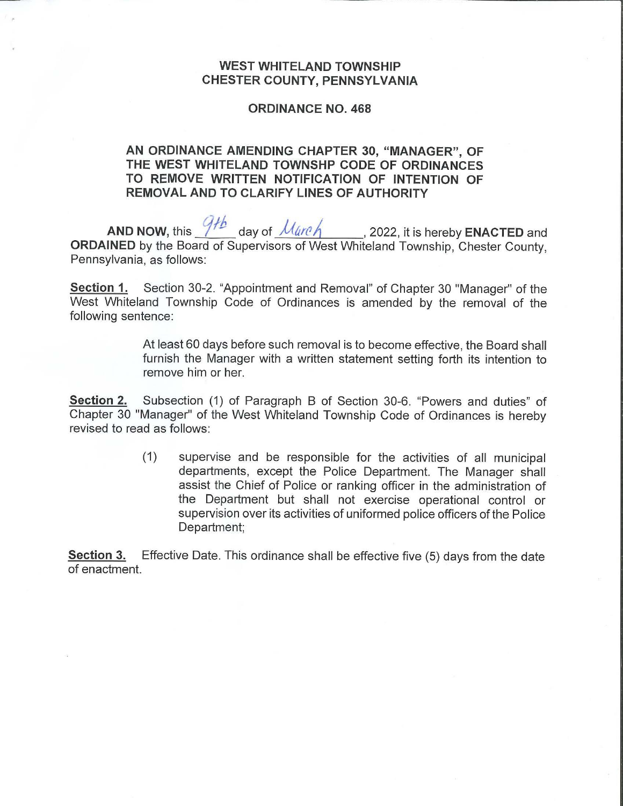## **WEST WHITELAND TOWNSHIP CHESTER COUNTY, PENNSYLVANIA**

## **ORDINANCE NO. 468**

## **AN ORDINANCE AMENDING CHAPTER 30, "MANAGER", OF THE WEST WHITELAND TOWNSHP CODE OF ORDINANCES TO REMOVE WRITTEN NOTIFICATION OF INTENTION OF REMOVAL AND TO CLARIFY LINES OF AUTHORITY**

AND NOW, this  $\frac{9}{4}$  day of  $\frac{\mu_{\text{circle}}}{\mu_{\text{circle}}}$ , 2022, it is hereby **ENACTED** and **ORDAINED** by the Board of Supervisors of West Whiteland Township, Chester County, Pennsylvania, as follows:

**Section 1.** Section 30-2. "Appointment and Removal" of Chapter 30 "Manager" of the West Whiteland Township Code of Ordinances is amended by the removal of the following sentence:

> At least 60 days before such removal is to become effective, the Board shall furnish the Manager with a written statement setting forth its intention to remove him or her.

**Section 2.** Subsection (1) of Paragraph B of Section 30-6. "Powers and duties" of Chapter 30 "Manager" of the West Whiteland Township Code of Ordinances is hereby revised to read as follows:

> (1) supervise and be responsible for the activities of all municipal departments, except the Police Department. The Manager shall assist the Chief of Police or ranking officer in the administration of the Department but shall not exercise operational control or supervision over its activities of uniformed police officers of the Police Department;

**Section 3.** Effective Date. This ordinance shall be effective five (5) days from the date of enactment.